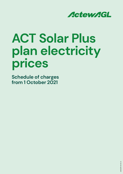

# **ACT Solar Plus plan electricity prices**

**Schedule of charges from 1 October 2021**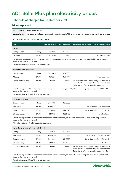# **ACT Solar Plus plan electricity prices**

#### **Schedule of charges from 1 October 2021**

#### **Prices explained**

|              | Supply charge A fixed price per day.                                                                                 |
|--------------|----------------------------------------------------------------------------------------------------------------------|
| Usage charge | A price per unit of usage (measured in kilowatt hours (kWh)) for the amount of electricity you use at your premises. |

#### **ACT Residential customers only**

| <b>Plan</b>   | Unit     | <b>GST</b> exclusive | <b>GST</b> inclusive | All times are Australian Eastern Standard Time |  |
|---------------|----------|----------------------|----------------------|------------------------------------------------|--|
| Home          |          |                      |                      |                                                |  |
| Supply charge | \$/day   | 0.890625             | 0.979688             |                                                |  |
| All usage     | $$$ /kWh | 0.242610             | 0.266871             | All day every day.                             |  |

This offer is 5 per cent less than the reference price. Annual cost per year is \$1,985 for an average household using 6,100 kWh a year in the Evoenergy network.

This offer features a 10 c/kWh solar buyback rate.

| Home with controlled load |          |          |          |                                                                                                                                                        |  |
|---------------------------|----------|----------|----------|--------------------------------------------------------------------------------------------------------------------------------------------------------|--|
| Supply charge             | $$$ /day | 0.890625 | 0.979688 |                                                                                                                                                        |  |
| All usage                 | \$/kWh   | 0.242610 | 0.266871 | All day every day.                                                                                                                                     |  |
| Controlled load usage     | \$/kWh   | 0.166627 | 0.183290 | For up to a total of 13 hours in any one day. The 13<br>hours shall be comprised of eight hours between<br>10pm-7am and/or five hours between 9am-5pm. |  |

This offer is 5 per cent less than the reference price. Annual cost per year is \$2,497 for an average household using 8,800 kWh a year in the Evoenergy network.

This offer features a 10 c/kWh solar buyback rate.

| Home Time-of-use |        |          |          |                             |
|------------------|--------|----------|----------|-----------------------------|
| Supply charge    | \$/day | 0.890625 | 0.979688 |                             |
| Peak usage       | \$/kWh | 0.323285 | 0.355614 | 7am-9am and 5pm-8pm daily.  |
| Shoulder usage   | \$/kWh | 0.224390 | 0.246829 | 9am-5pm and 8pm-10pm daily. |
| Off-peak usage   | \$/kWh | 0.189525 | 0.208478 | All other times.            |

This offer is 5 per cent less than the reference price. Annual cost per year is \$1,985 for an average household using 6,100 kWh a year in the Evoenergy network.

This offer features a 10 c/kWh solar buyback rate.

| Home Time-of-use with controlled load |          |          |          |                                                                                                                                                        |
|---------------------------------------|----------|----------|----------|--------------------------------------------------------------------------------------------------------------------------------------------------------|
| Supply                                | $$$ /day | 0.890625 | 0.979688 |                                                                                                                                                        |
| Peak usage                            | \$/kWh   | 0.323285 | 0.355614 | 7am-9am and 5pm-8pm daily.                                                                                                                             |
| Shoulder usage                        | \$/kWh   | 0.224390 | 0.246829 | 9am-5pm and 8pm-10pm daily.                                                                                                                            |
| Off-peak usage                        | \$/kWh   | 0.189525 | 0.208478 | All other times.                                                                                                                                       |
| Controlled load usage                 | \$/kWh   | 0.166627 | 0.183290 | For up to a total of 13 hours in any one day. The 13<br>hours shall be comprised of eight hours between<br>10pm-7am and/or five hours between 9am-5pm. |

This offer is 5 per cent less than the reference price. Annual cost per year is \$2,497 for an average household using 8,800 kWh a year in the Evoenergy network.

This offer features a 10 c/kWh solar buyback rate.

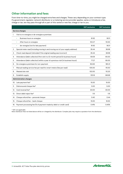#### **Other information and fees**

From time-to-time, you might be charged extra fees and charges. These vary depending on your contract type. If a government, regulator, network distributor or a metering service provider applies, varies or introduces a fee, charge or tax, we may pass through all or part of this varied or new fee, charge or tax to you.

|     |                                                                                    | <b>GST</b> exclusive | <b>GST inclusive</b> |  |  |  |  |
|-----|------------------------------------------------------------------------------------|----------------------|----------------------|--|--|--|--|
|     | Service charges                                                                    |                      |                      |  |  |  |  |
| 1.  | Visit to re-energise or de-energise a premises                                     |                      |                      |  |  |  |  |
|     | Business hours re-energise<br>$\bullet$                                            | 81.92                | 90.11                |  |  |  |  |
|     | After hours re-energise<br>٠                                                       | 102.27               | 112.50               |  |  |  |  |
|     | de-energise (not for late payment)<br>٠                                            | 81.92                | 90.11                |  |  |  |  |
| 2.  | Special meter read (including moving in and moving out of your supply address)     | 35.44                | 38.98                |  |  |  |  |
| 3.  | Check read deposit (refunded if the original reading was incorrect)                | 35.44                | 38.98                |  |  |  |  |
| 4.  | Attendance (debt collection) first visit in a 12-month period (in business hours)  | 59.09                | 65.00                |  |  |  |  |
| 5.  | Attendance (debt collection) within a year of a previous visit (in business hours) | 77.27                | 85.00                |  |  |  |  |
| 6.  | De-energise a premises for non-payment                                             | 163.83               | 180.21               |  |  |  |  |
| 7.  | Manual reading service fee per read for smart meters (fee per read)                | 105.00               | 115.50               |  |  |  |  |
| 8.  | Wasted site visit                                                                  | 102.00               | 112.20               |  |  |  |  |
| 9.  | Establish supply                                                                   | 135.16               | 148.68               |  |  |  |  |
|     | <b>Administration charges</b>                                                      |                      |                      |  |  |  |  |
| 10. | Late payment fee*                                                                  | 15.00                | 15.00                |  |  |  |  |
| 11. | Dishonoured cheque fee*                                                            | 5.00                 | 5.00                 |  |  |  |  |
| 12. | Card reversal fee*                                                                 | 30.00                | 30.00                |  |  |  |  |
| 13. | Direct debit reject fee*                                                           | 1.15                 | 1.15                 |  |  |  |  |
| 14. | Cheque refund fee - personal cheque                                                | 0.40                 | 0.44                 |  |  |  |  |
| 15. | Cheque refund fee - bank cheque                                                    | 15.00                | 16.50                |  |  |  |  |
| 16. | Payment processing fee (% of payment made by debit or credit card)                 | 0.41%                | 0.45%                |  |  |  |  |

\* GST not applicable

Note: Distributor fees not listed above will be on-charged by the distributor. Complex jobs may require a quotation from the distributor.